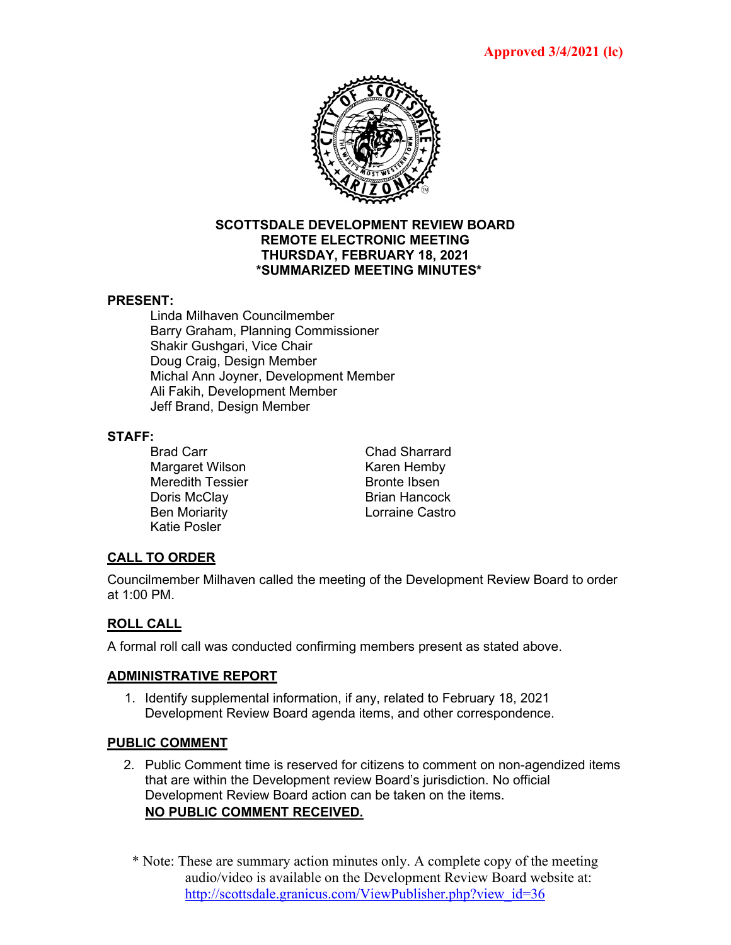

#### **SCOTTSDALE DEVELOPMENT REVIEW BOARD REMOTE ELECTRONIC MEETING THURSDAY, FEBRUARY 18, 2021 \*SUMMARIZED MEETING MINUTES\***

## **PRESENT:**

Linda Milhaven Councilmember Barry Graham, Planning Commissioner Shakir Gushgari, Vice Chair Doug Craig, Design Member Michal Ann Joyner, Development Member Ali Fakih, Development Member Jeff Brand, Design Member

#### **STAFF:**

Brad Carr **Chad Sharrard** Margaret Wilson **Karen Hemby** Meredith Tessier Bronte Ibsen Doris McClay Brian Hancock Ben Moriarity Katie Posler

# **CALL TO ORDER**

Councilmember Milhaven called the meeting of the Development Review Board to order at 1:00 PM.

# **ROLL CALL**

A formal roll call was conducted confirming members present as stated above.

## **ADMINISTRATIVE REPORT**

1. Identify supplemental information, if any, related to February 18, 2021 Development Review Board agenda items, and other correspondence.

## **PUBLIC COMMENT**

- 2. Public Comment time is reserved for citizens to comment on non-agendized items that are within the Development review Board's jurisdiction. No official Development Review Board action can be taken on the items. **NO PUBLIC COMMENT RECEIVED.**
	- \* Note: These are summary action minutes only. A complete copy of the meeting audio/video is available on the Development Review Board website at: [http://scottsdale.granicus.com/ViewPublisher.php?view\\_id=36](http://scottsdale.granicus.com/ViewPublisher.php?view_id=36)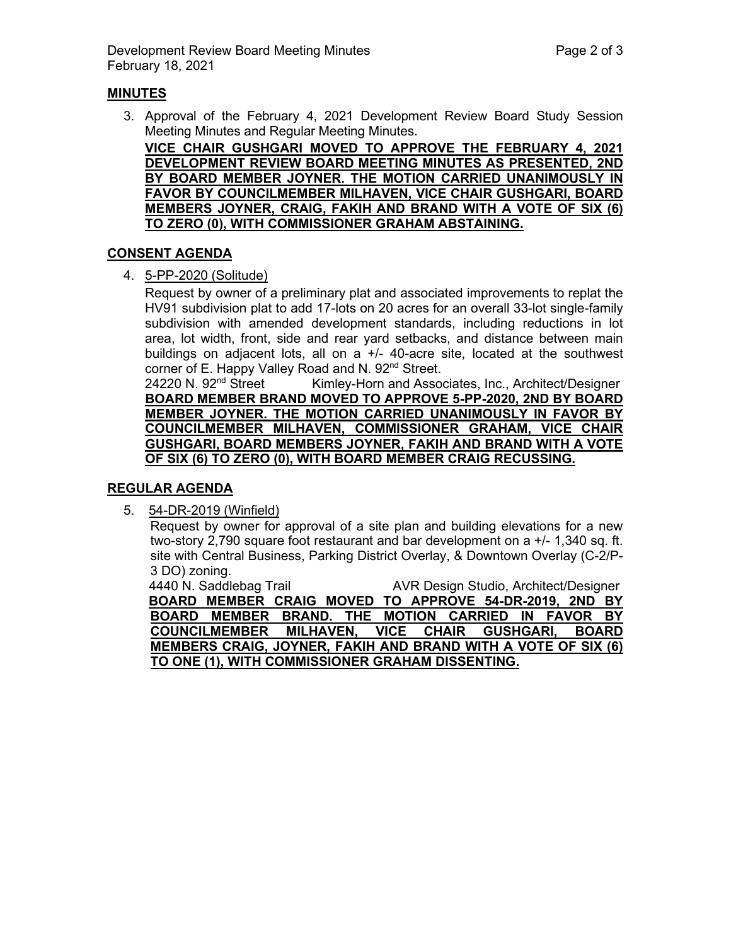## **MINUTES**

3. Approval of the February 4, 2021 Development Review Board Study Session Meeting Minutes and Regular Meeting Minutes.

**VICE CHAIR GUSHGARI MOVED TO APPROVE THE FEBRUARY 4, 2021 DEVELOPMENT REVIEW BOARD MEETING MINUTES AS PRESENTED, 2ND BY BOARD MEMBER JOYNER. THE MOTION CARRIED UNANIMOUSLY IN FAVOR BY COUNCILMEMBER MILHAVEN, VICE CHAIR GUSHGARI, BOARD MEMBERS JOYNER, CRAIG, FAKIH AND BRAND WITH A VOTE OF SIX (6) TO ZERO (0), WITH COMMISSIONER GRAHAM ABSTAINING.**

#### **CONSENT AGENDA**

4. 5-PP-2020 (Solitude)

Request by owner of a preliminary plat and associated improvements to replat the HV91 subdivision plat to add 17-lots on 20 acres for an overall 33-lot single-family subdivision with amended development standards, including reductions in lot area, lot width, front, side and rear yard setbacks, and distance between main buildings on adjacent lots, all on a +/- 40-acre site, located at the southwest corner of E. Happy Valley Road and N. 92<sup>nd</sup> Street.<br>24220 N. 92<sup>nd</sup> Street Kimley-Horn and Assoc

Kimley-Horn and Associates, Inc., Architect/Designer **BOARD MEMBER BRAND MOVED TO APPROVE 5-PP-2020, 2ND BY BOARD MEMBER JOYNER. THE MOTION CARRIED UNANIMOUSLY IN FAVOR BY COUNCILMEMBER MILHAVEN, COMMISSIONER GRAHAM, VICE CHAIR GUSHGARI, BOARD MEMBERS JOYNER, FAKIH AND BRAND WITH A VOTE OF SIX (6) TO ZERO (0), WITH BOARD MEMBER CRAIG RECUSSING.**

## **REGULAR AGENDA**

5. 54-DR-2019 (Winfield)

Request by owner for approval of a site plan and building elevations for a new two-story 2,790 square foot restaurant and bar development on a +/- 1,340 sq. ft. site with Central Business, Parking District Overlay, & Downtown Overlay (C-2/P-3 DO) zoning.

4440 N. Saddlebag Trail **AVR Design Studio, Architect/Designer BOARD MEMBER CRAIG MOVED TO APPROVE 54-DR-2019, 2ND BY BOARD MEMBER BRAND. THE MOTION CARRIED IN FAVOR BY COUNCILMEMBER MILHAVEN, VICE CHAIR GUSHGARI, BOARD MEMBERS CRAIG, JOYNER, FAKIH AND BRAND WITH A VOTE OF SIX (6) TO ONE (1), WITH COMMISSIONER GRAHAM DISSENTING.**